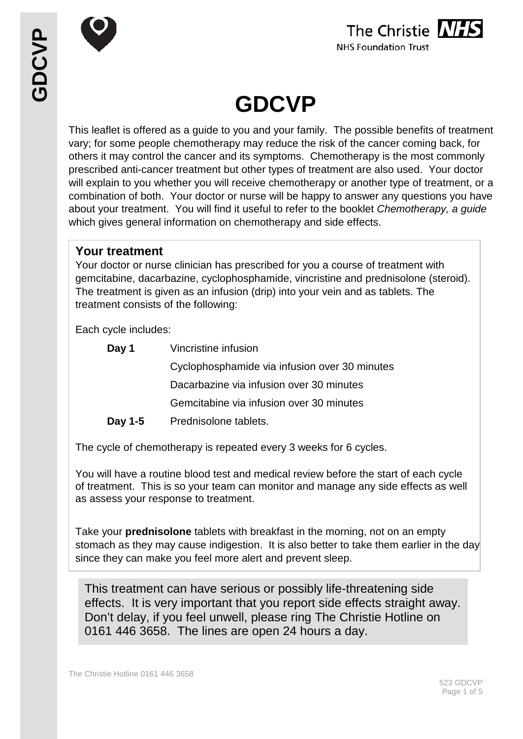



# **GDCVP**

This leaflet is offered as a guide to you and your family. The possible benefits of treatment vary; for some people chemotherapy may reduce the risk of the cancer coming back, for others it may control the cancer and its symptoms. Chemotherapy is the most commonly prescribed anti-cancer treatment but other types of treatment are also used. Your doctor will explain to you whether you will receive chemotherapy or another type of treatment, or a combination of both. Your doctor or nurse will be happy to answer any questions you have about your treatment. You will find it useful to refer to the booklet *Chemotherapy, a guide* which gives general information on chemotherapy and side effects.

# **Your treatment**

Your doctor or nurse clinician has prescribed for you a course of treatment with gemcitabine, dacarbazine, cyclophosphamide, vincristine and prednisolone (steroid). The treatment is given as an infusion (drip) into your vein and as tablets. The treatment consists of the following:

Each cycle includes:

| Day 1   | Vincristine infusion                          |  |  |
|---------|-----------------------------------------------|--|--|
|         | Cyclophosphamide via infusion over 30 minutes |  |  |
|         | Dacarbazine via infusion over 30 minutes      |  |  |
|         | Gemcitabine via infusion over 30 minutes      |  |  |
| Day 1-5 | Prednisolone tablets.                         |  |  |

The cycle of chemotherapy is repeated every 3 weeks for 6 cycles.

You will have a routine blood test and medical review before the start of each cycle of treatment. This is so your team can monitor and manage any side effects as well as assess your response to treatment.

Take your **prednisolone** tablets with breakfast in the morning, not on an empty stomach as they may cause indigestion. It is also better to take them earlier in the day since they can make you feel more alert and prevent sleep.

This treatment can have serious or possibly life-threatening side effects. It is very important that you report side effects straight away. Don't delay, if you feel unwell, please ring The Christie Hotline on 0161 446 3658. The lines are open 24 hours a day.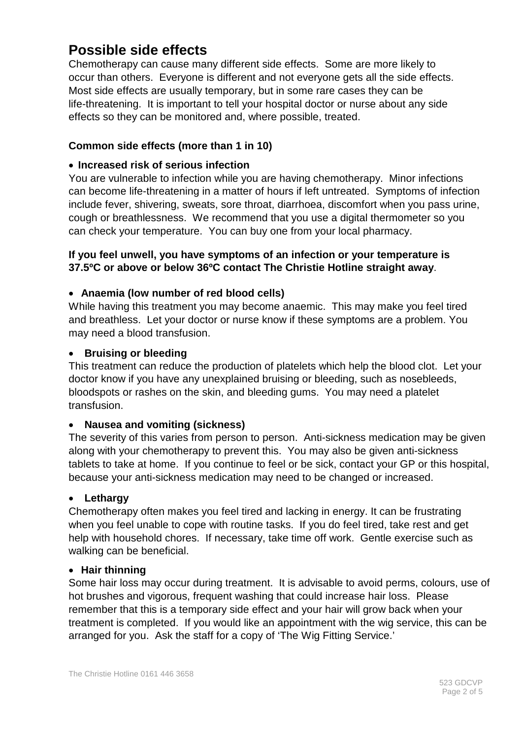# **Possible side effects**

Chemotherapy can cause many different side effects. Some are more likely to occur than others. Everyone is different and not everyone gets all the side effects. Most side effects are usually temporary, but in some rare cases they can be life-threatening. It is important to tell your hospital doctor or nurse about any side effects so they can be monitored and, where possible, treated.

# **Common side effects (more than 1 in 10)**

#### • **Increased risk of serious infection**

You are vulnerable to infection while you are having chemotherapy. Minor infections can become life-threatening in a matter of hours if left untreated. Symptoms of infection include fever, shivering, sweats, sore throat, diarrhoea, discomfort when you pass urine, cough or breathlessness. We recommend that you use a digital thermometer so you can check your temperature. You can buy one from your local pharmacy.

#### **If you feel unwell, you have symptoms of an infection or your temperature is 37.5ºC or above or below 36ºC contact The Christie Hotline straight away**.

# • **Anaemia (low number of red blood cells)**

While having this treatment you may become anaemic. This may make you feel tired and breathless. Let your doctor or nurse know if these symptoms are a problem. You may need a blood transfusion.

#### • **Bruising or bleeding**

This treatment can reduce the production of platelets which help the blood clot. Let your doctor know if you have any unexplained bruising or bleeding, such as nosebleeds, bloodspots or rashes on the skin, and bleeding gums. You may need a platelet transfusion.

#### • **Nausea and vomiting (sickness)**

The severity of this varies from person to person. Anti-sickness medication may be given along with your chemotherapy to prevent this. You may also be given anti-sickness tablets to take at home. If you continue to feel or be sick, contact your GP or this hospital, because your anti-sickness medication may need to be changed or increased.

#### • **Lethargy**

Chemotherapy often makes you feel tired and lacking in energy. It can be frustrating when you feel unable to cope with routine tasks. If you do feel tired, take rest and get help with household chores. If necessary, take time off work. Gentle exercise such as walking can be beneficial.

#### • **Hair thinning**

Some hair loss may occur during treatment. It is advisable to avoid perms, colours, use of hot brushes and vigorous, frequent washing that could increase hair loss. Please remember that this is a temporary side effect and your hair will grow back when your treatment is completed. If you would like an appointment with the wig service, this can be arranged for you. Ask the staff for a copy of 'The Wig Fitting Service.'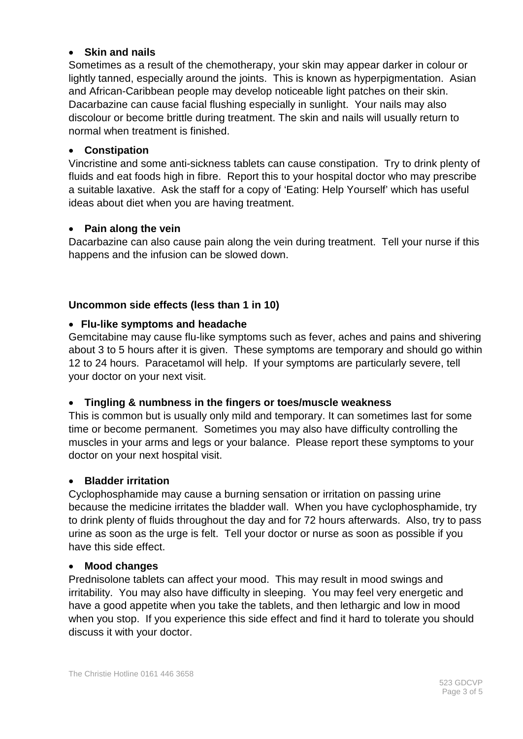#### • **Skin and nails**

Sometimes as a result of the chemotherapy, your skin may appear darker in colour or lightly tanned, especially around the joints. This is known as hyperpigmentation. Asian and African-Caribbean people may develop noticeable light patches on their skin. Dacarbazine can cause facial flushing especially in sunlight. Your nails may also discolour or become brittle during treatment. The skin and nails will usually return to normal when treatment is finished.

#### • **Constipation**

Vincristine and some anti-sickness tablets can cause constipation. Try to drink plenty of fluids and eat foods high in fibre. Report this to your hospital doctor who may prescribe a suitable laxative. Ask the staff for a copy of 'Eating: Help Yourself' which has useful ideas about diet when you are having treatment.

#### • **Pain along the vein**

Dacarbazine can also cause pain along the vein during treatment. Tell your nurse if this happens and the infusion can be slowed down.

#### **Uncommon side effects (less than 1 in 10)**

#### • **Flu-like symptoms and headache**

Gemcitabine may cause flu-like symptoms such as fever, aches and pains and shivering about 3 to 5 hours after it is given. These symptoms are temporary and should go within 12 to 24 hours. Paracetamol will help. If your symptoms are particularly severe, tell your doctor on your next visit.

#### • **Tingling & numbness in the fingers or toes/muscle weakness**

This is common but is usually only mild and temporary. It can sometimes last for some time or become permanent. Sometimes you may also have difficulty controlling the muscles in your arms and legs or your balance. Please report these symptoms to your doctor on your next hospital visit.

#### • **Bladder irritation**

Cyclophosphamide may cause a burning sensation or irritation on passing urine because the medicine irritates the bladder wall. When you have cyclophosphamide, try to drink plenty of fluids throughout the day and for 72 hours afterwards. Also, try to pass urine as soon as the urge is felt. Tell your doctor or nurse as soon as possible if you have this side effect.

#### • **Mood changes**

Prednisolone tablets can affect your mood. This may result in mood swings and irritability. You may also have difficulty in sleeping. You may feel very energetic and have a good appetite when you take the tablets, and then lethargic and low in mood when you stop. If you experience this side effect and find it hard to tolerate you should discuss it with your doctor.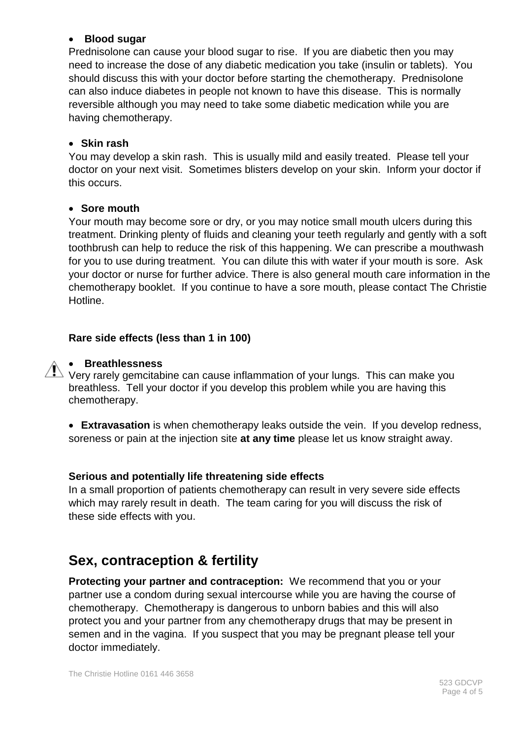#### • **Blood sugar**

Prednisolone can cause your blood sugar to rise. If you are diabetic then you may need to increase the dose of any diabetic medication you take (insulin or tablets). You should discuss this with your doctor before starting the chemotherapy. Prednisolone can also induce diabetes in people not known to have this disease. This is normally reversible although you may need to take some diabetic medication while you are having chemotherapy.

#### • **Skin rash**

You may develop a skin rash. This is usually mild and easily treated. Please tell your doctor on your next visit. Sometimes blisters develop on your skin. Inform your doctor if this occurs.

#### • **Sore mouth**

Your mouth may become sore or dry, or you may notice small mouth ulcers during this treatment. Drinking plenty of fluids and cleaning your teeth regularly and gently with a soft toothbrush can help to reduce the risk of this happening. We can prescribe a mouthwash for you to use during treatment. You can dilute this with water if your mouth is sore. Ask your doctor or nurse for further advice. There is also general mouth care information in the chemotherapy booklet. If you continue to have a sore mouth, please contact The Christie Hotline.

# **Rare side effects (less than 1 in 100)**

# • **Breathlessness**

 $\sqrt{N}$  Very rarely gemcitabine can cause inflammation of your lungs. This can make you breathless. Tell your doctor if you develop this problem while you are having this chemotherapy.

• **Extravasation** is when chemotherapy leaks outside the vein. If you develop redness, soreness or pain at the injection site **at any time** please let us know straight away.

# **Serious and potentially life threatening side effects**

In a small proportion of patients chemotherapy can result in very severe side effects which may rarely result in death. The team caring for you will discuss the risk of these side effects with you.

# **Sex, contraception & fertility**

**Protecting your partner and contraception:** We recommend that you or your partner use a condom during sexual intercourse while you are having the course of chemotherapy. Chemotherapy is dangerous to unborn babies and this will also protect you and your partner from any chemotherapy drugs that may be present in semen and in the vagina. If you suspect that you may be pregnant please tell your doctor immediately.